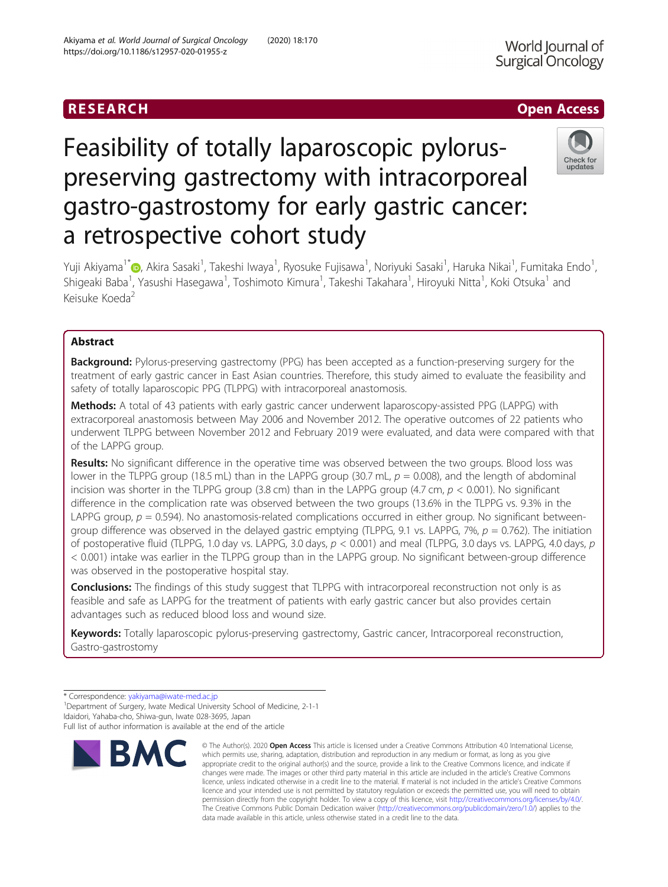# RESEARCH **RESEARCH CHOOSE ACCESS**

# Feasibility of totally laparoscopic pylorus-

a retrospective cohort study

Surgical Oncology

World Journal of

Yuji Akiyama<sup>1\*</sup>©[,](http://orcid.org/0000-0001-5658-7419) Akira Sasaki<sup>1</sup>, Takeshi Iwaya<sup>1</sup>, Ryosuke Fujisawa<sup>1</sup>, Noriyuki Sasaki<sup>1</sup>, Haruka Nikai<sup>1</sup>, Fumitaka Endo<sup>1</sup> , Shigeaki Baba<sup>1</sup>, Yasushi Hasegawa<sup>1</sup>, Toshimoto Kimura<sup>1</sup>, Takeshi Takahara<sup>1</sup>, Hiroyuki Nitta<sup>1</sup>, Koki Otsuka<sup>1</sup> and Keisuke Koeda<sup>2</sup>

preserving gastrectomy with intracorporeal

gastro-gastrostomy for early gastric cancer:

## Abstract

**Background:** Pylorus-preserving gastrectomy (PPG) has been accepted as a function-preserving surgery for the treatment of early gastric cancer in East Asian countries. Therefore, this study aimed to evaluate the feasibility and safety of totally laparoscopic PPG (TLPPG) with intracorporeal anastomosis.

Methods: A total of 43 patients with early gastric cancer underwent laparoscopy-assisted PPG (LAPPG) with extracorporeal anastomosis between May 2006 and November 2012. The operative outcomes of 22 patients who underwent TLPPG between November 2012 and February 2019 were evaluated, and data were compared with that of the LAPPG group.

Results: No significant difference in the operative time was observed between the two groups. Blood loss was lower in the TLPPG group (18.5 mL) than in the LAPPG group (30.7 mL,  $p = 0.008$ ), and the length of abdominal incision was shorter in the TLPPG group (3.8 cm) than in the LAPPG group (4.7 cm,  $p < 0.001$ ). No significant difference in the complication rate was observed between the two groups (13.6% in the TLPPG vs. 9.3% in the LAPPG group,  $p = 0.594$ ). No anastomosis-related complications occurred in either group. No significant betweengroup difference was observed in the delayed gastric emptying (TLPPG, 9.1 vs. LAPPG, 7%,  $p = 0.762$ ). The initiation of postoperative fluid (TLPPG, 1.0 day vs. LAPPG, 3.0 days,  $p < 0.001$ ) and meal (TLPPG, 3.0 days vs. LAPPG, 4.0 days, p < 0.001) intake was earlier in the TLPPG group than in the LAPPG group. No significant between-group difference was observed in the postoperative hospital stay.

Conclusions: The findings of this study suggest that TLPPG with intracorporeal reconstruction not only is as feasible and safe as LAPPG for the treatment of patients with early gastric cancer but also provides certain advantages such as reduced blood loss and wound size.

Keywords: Totally laparoscopic pylorus-preserving gastrectomy, Gastric cancer, Intracorporeal reconstruction, Gastro-gastrostomy

Full list of author information is available at the end of the article



<sup>©</sup> The Author(s), 2020 **Open Access** This article is licensed under a Creative Commons Attribution 4.0 International License, which permits use, sharing, adaptation, distribution and reproduction in any medium or format, as long as you give appropriate credit to the original author(s) and the source, provide a link to the Creative Commons licence, and indicate if changes were made. The images or other third party material in this article are included in the article's Creative Commons licence, unless indicated otherwise in a credit line to the material. If material is not included in the article's Creative Commons licence and your intended use is not permitted by statutory regulation or exceeds the permitted use, you will need to obtain permission directly from the copyright holder. To view a copy of this licence, visit [http://creativecommons.org/licenses/by/4.0/.](http://creativecommons.org/licenses/by/4.0/) The Creative Commons Public Domain Dedication waiver [\(http://creativecommons.org/publicdomain/zero/1.0/](http://creativecommons.org/publicdomain/zero/1.0/)) applies to the data made available in this article, unless otherwise stated in a credit line to the data.



<sup>\*</sup> Correspondence: [yakiyama@iwate-med.ac.jp](mailto:yakiyama@iwate-med.ac.jp) <sup>1</sup>

<sup>&</sup>lt;sup>1</sup> Department of Surgery, Iwate Medical University School of Medicine, 2-1-1 Idaidori, Yahaba-cho, Shiwa-gun, Iwate 028-3695, Japan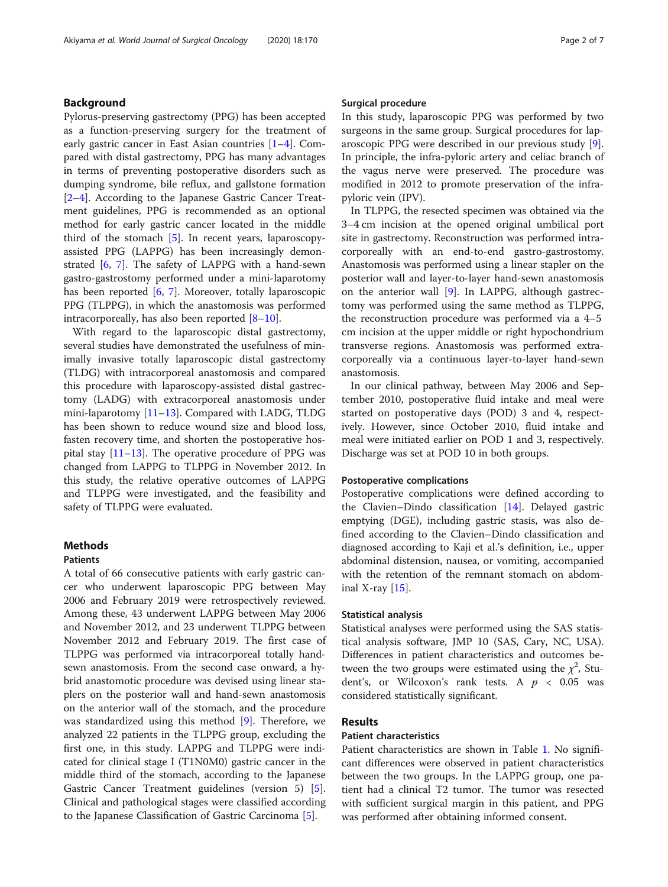### Background

Pylorus-preserving gastrectomy (PPG) has been accepted as a function-preserving surgery for the treatment of early gastric cancer in East Asian countries [[1](#page-5-0)–[4](#page-5-0)]. Compared with distal gastrectomy, PPG has many advantages in terms of preventing postoperative disorders such as dumping syndrome, bile reflux, and gallstone formation [[2](#page-5-0)–[4\]](#page-5-0). According to the Japanese Gastric Cancer Treatment guidelines, PPG is recommended as an optional method for early gastric cancer located in the middle third of the stomach [\[5](#page-5-0)]. In recent years, laparoscopyassisted PPG (LAPPG) has been increasingly demonstrated [\[6](#page-5-0), [7\]](#page-5-0). The safety of LAPPG with a hand-sewn gastro-gastrostomy performed under a mini-laparotomy has been reported [\[6](#page-5-0), [7](#page-5-0)]. Moreover, totally laparoscopic PPG (TLPPG), in which the anastomosis was performed intracorporeally, has also been reported  $[8-10]$  $[8-10]$  $[8-10]$  $[8-10]$ .

With regard to the laparoscopic distal gastrectomy, several studies have demonstrated the usefulness of minimally invasive totally laparoscopic distal gastrectomy (TLDG) with intracorporeal anastomosis and compared this procedure with laparoscopy-assisted distal gastrectomy (LADG) with extracorporeal anastomosis under mini-laparotomy  $[11–13]$  $[11–13]$  $[11–13]$ . Compared with LADG, TLDG has been shown to reduce wound size and blood loss, fasten recovery time, and shorten the postoperative hospital stay  $[11-13]$  $[11-13]$  $[11-13]$  $[11-13]$  $[11-13]$ . The operative procedure of PPG was changed from LAPPG to TLPPG in November 2012. In this study, the relative operative outcomes of LAPPG and TLPPG were investigated, and the feasibility and safety of TLPPG were evaluated.

#### Methods

#### **Patients**

A total of 66 consecutive patients with early gastric cancer who underwent laparoscopic PPG between May 2006 and February 2019 were retrospectively reviewed. Among these, 43 underwent LAPPG between May 2006 and November 2012, and 23 underwent TLPPG between November 2012 and February 2019. The first case of TLPPG was performed via intracorporeal totally handsewn anastomosis. From the second case onward, a hybrid anastomotic procedure was devised using linear staplers on the posterior wall and hand-sewn anastomosis on the anterior wall of the stomach, and the procedure was standardized using this method [\[9](#page-5-0)]. Therefore, we analyzed 22 patients in the TLPPG group, excluding the first one, in this study. LAPPG and TLPPG were indicated for clinical stage I (T1N0M0) gastric cancer in the middle third of the stomach, according to the Japanese Gastric Cancer Treatment guidelines (version 5) [\[5](#page-5-0)]. Clinical and pathological stages were classified according to the Japanese Classification of Gastric Carcinoma [[5\]](#page-5-0).

In this study, laparoscopic PPG was performed by two surgeons in the same group. Surgical procedures for laparoscopic PPG were described in our previous study [\[9](#page-5-0)]. In principle, the infra-pyloric artery and celiac branch of the vagus nerve were preserved. The procedure was modified in 2012 to promote preservation of the infrapyloric vein (IPV).

In TLPPG, the resected specimen was obtained via the 3–4 cm incision at the opened original umbilical port site in gastrectomy. Reconstruction was performed intracorporeally with an end-to-end gastro-gastrostomy. Anastomosis was performed using a linear stapler on the posterior wall and layer-to-layer hand-sewn anastomosis on the anterior wall [\[9](#page-5-0)]. In LAPPG, although gastrectomy was performed using the same method as TLPPG, the reconstruction procedure was performed via a 4–5 cm incision at the upper middle or right hypochondrium transverse regions. Anastomosis was performed extracorporeally via a continuous layer-to-layer hand-sewn anastomosis.

In our clinical pathway, between May 2006 and September 2010, postoperative fluid intake and meal were started on postoperative days (POD) 3 and 4, respectively. However, since October 2010, fluid intake and meal were initiated earlier on POD 1 and 3, respectively. Discharge was set at POD 10 in both groups.

#### Postoperative complications

Postoperative complications were defined according to the Clavien–Dindo classification [\[14](#page-5-0)]. Delayed gastric emptying (DGE), including gastric stasis, was also defined according to the Clavien–Dindo classification and diagnosed according to Kaji et al.'s definition, i.e., upper abdominal distension, nausea, or vomiting, accompanied with the retention of the remnant stomach on abdominal X-ray  $[15]$  $[15]$ .

#### Statistical analysis

Statistical analyses were performed using the SAS statistical analysis software, JMP 10 (SAS, Cary, NC, USA). Differences in patient characteristics and outcomes between the two groups were estimated using the  $\chi^2$ , Student's, or Wilcoxon's rank tests. A  $p < 0.05$  was considered statistically significant.

#### Results

#### Patient characteristics

Patient characteristics are shown in Table [1](#page-2-0). No significant differences were observed in patient characteristics between the two groups. In the LAPPG group, one patient had a clinical T2 tumor. The tumor was resected with sufficient surgical margin in this patient, and PPG was performed after obtaining informed consent.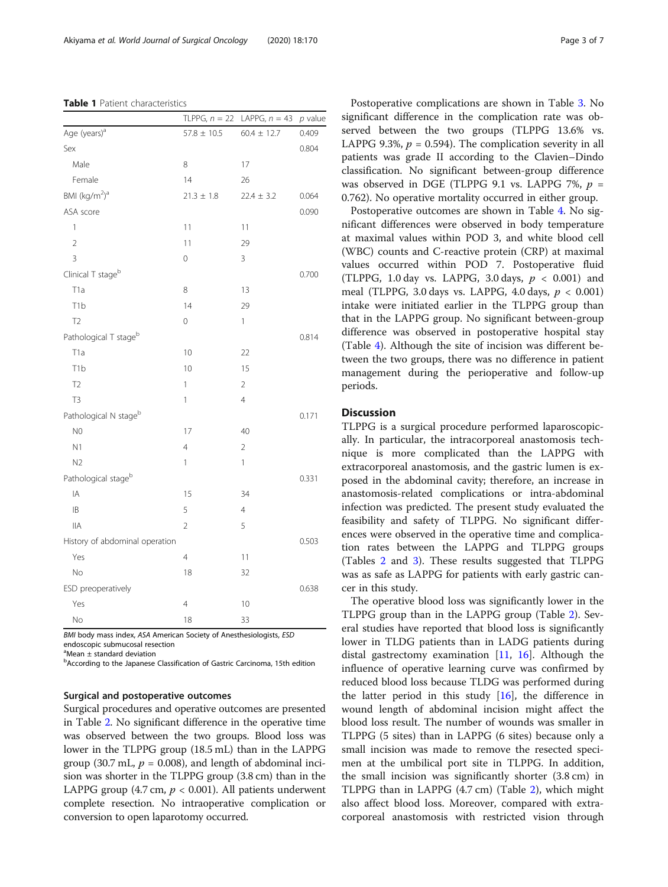<span id="page-2-0"></span>Table 1 Patient characteristics

|                                       | TLPPG, $n = 22$ | LAPPG, $n = 43$ | $p$ value |
|---------------------------------------|-----------------|-----------------|-----------|
| Age (years) <sup>a</sup>              | $57.8 \pm 10.5$ | $60.4 \pm 12.7$ | 0.409     |
| Sex                                   |                 |                 | 0.804     |
| Male                                  | 8               | 17              |           |
| Female                                | 14              | 26              |           |
| BMI (kg/m <sup>2</sup> ) <sup>a</sup> | $21.3 \pm 1.8$  | $22.4 \pm 3.2$  | 0.064     |
| ASA score                             |                 |                 | 0.090     |
| 1                                     | 11              | 11              |           |
| $\overline{2}$                        | 11              | 29              |           |
| 3                                     | 0               | 3               |           |
| Clinical T stage <sup>b</sup>         |                 |                 | 0.700     |
| T <sub>1</sub> a                      | 8               | 13              |           |
| T <sub>1</sub> b                      | 14              | 29              |           |
| T <sub>2</sub>                        | 0               | 1               |           |
| Pathological T stage <sup>b</sup>     |                 |                 | 0.814     |
| T <sub>1</sub> a                      | 10              | 22              |           |
| T <sub>1</sub> b                      | 10              | 15              |           |
| T <sub>2</sub>                        | 1               | 2               |           |
| T <sub>3</sub>                        | 1               | $\overline{4}$  |           |
| Pathological N stage <sup>b</sup>     |                 |                 | 0.171     |
| N <sub>0</sub>                        | 17              | 40              |           |
| N1                                    | 4               | $\mathbf 2$     |           |
| N <sub>2</sub>                        | 1               | 1               |           |
| Pathological stageb                   |                 |                 | 0.331     |
| IA                                    | 15              | 34              |           |
| IB                                    | 5               | $\overline{4}$  |           |
| <b>IIA</b>                            | $\overline{2}$  | 5               |           |
| History of abdominal operation        |                 |                 | 0.503     |
| Yes                                   | $\overline{4}$  | 11              |           |
| No                                    | 18              | 32              |           |
| ESD preoperatively                    |                 |                 | 0.638     |
| Yes                                   | $\overline{4}$  | 10              |           |
| No                                    | 18              | 33              |           |

BMI body mass index, ASA American Society of Anesthesiologists, ESD endoscopic submucosal resection

a Mean ± standard deviation

<sup>b</sup>According to the Japanese Classification of Gastric Carcinoma, 15th edition

#### Surgical and postoperative outcomes

Surgical procedures and operative outcomes are presented in Table [2](#page-3-0). No significant difference in the operative time was observed between the two groups. Blood loss was lower in the TLPPG group (18.5 mL) than in the LAPPG group (30.7 mL,  $p = 0.008$ ), and length of abdominal incision was shorter in the TLPPG group (3.8 cm) than in the LAPPG group (4.7 cm,  $p < 0.001$ ). All patients underwent complete resection. No intraoperative complication or conversion to open laparotomy occurred.

Postoperative complications are shown in Table [3](#page-3-0). No significant difference in the complication rate was observed between the two groups (TLPPG 13.6% vs. LAPPG 9.3%,  $p = 0.594$ ). The complication severity in all patients was grade II according to the Clavien–Dindo classification. No significant between-group difference was observed in DGE (TLPPG 9.1 vs. LAPPG 7%,  $p =$ 0.762). No operative mortality occurred in either group.

Postoperative outcomes are shown in Table [4](#page-4-0). No significant differences were observed in body temperature at maximal values within POD 3, and white blood cell (WBC) counts and C-reactive protein (CRP) at maximal values occurred within POD 7. Postoperative fluid (TLPPG, 1.0 day vs. LAPPG, 3.0 days,  $p < 0.001$ ) and meal (TLPPG, 3.0 days vs. LAPPG, 4.0 days,  $p < 0.001$ ) intake were initiated earlier in the TLPPG group than that in the LAPPG group. No significant between-group difference was observed in postoperative hospital stay (Table [4](#page-4-0)). Although the site of incision was different between the two groups, there was no difference in patient management during the perioperative and follow-up periods.

#### **Discussion**

TLPPG is a surgical procedure performed laparoscopically. In particular, the intracorporeal anastomosis technique is more complicated than the LAPPG with extracorporeal anastomosis, and the gastric lumen is exposed in the abdominal cavity; therefore, an increase in anastomosis-related complications or intra-abdominal infection was predicted. The present study evaluated the feasibility and safety of TLPPG. No significant differences were observed in the operative time and complication rates between the LAPPG and TLPPG groups (Tables [2](#page-3-0) and [3](#page-3-0)). These results suggested that TLPPG was as safe as LAPPG for patients with early gastric cancer in this study.

The operative blood loss was significantly lower in the TLPPG group than in the LAPPG group (Table [2](#page-3-0)). Several studies have reported that blood loss is significantly lower in TLDG patients than in LADG patients during distal gastrectomy examination [[11,](#page-5-0) [16\]](#page-5-0). Although the influence of operative learning curve was confirmed by reduced blood loss because TLDG was performed during the latter period in this study  $[16]$  $[16]$ , the difference in wound length of abdominal incision might affect the blood loss result. The number of wounds was smaller in TLPPG (5 sites) than in LAPPG (6 sites) because only a small incision was made to remove the resected specimen at the umbilical port site in TLPPG. In addition, the small incision was significantly shorter (3.8 cm) in TLPPG than in LAPPG (4.7 cm) (Table [2\)](#page-3-0), which might also affect blood loss. Moreover, compared with extracorporeal anastomosis with restricted vision through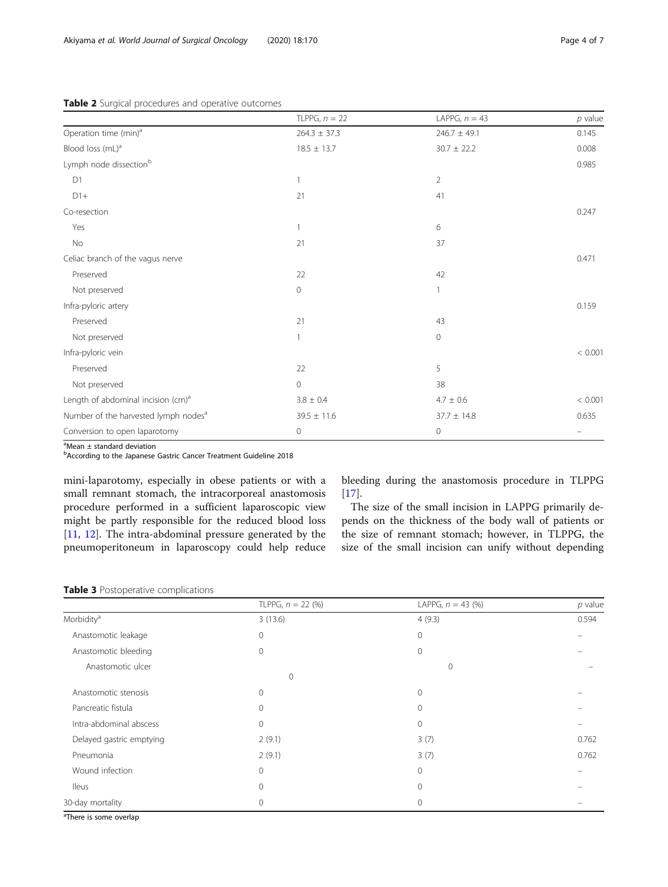#### <span id="page-3-0"></span>Table 2 Surgical procedures and operative outcomes

|                                                  | TLPPG, $n = 22$  | LAPPG, $n = 43$  | $p$ value |
|--------------------------------------------------|------------------|------------------|-----------|
| Operation time (min) <sup>a</sup>                | $264.3 \pm 37.3$ | $246.7 \pm 49.1$ | 0.145     |
| Blood loss (mL) <sup>a</sup>                     | $18.5 \pm 13.7$  | $30.7 \pm 22.2$  | 0.008     |
| Lymph node dissection <sup>b</sup>               |                  |                  | 0.985     |
| D1                                               | $\overline{1}$   | $\overline{2}$   |           |
| $D1+$                                            | 21               | 41               |           |
| Co-resection                                     |                  |                  | 0.247     |
| Yes                                              | $\overline{1}$   | 6                |           |
| No                                               | 21               | 37               |           |
| Celiac branch of the vagus nerve                 |                  |                  | 0.471     |
| Preserved                                        | 22               | 42               |           |
| Not preserved                                    | $\mathbf 0$      |                  |           |
| Infra-pyloric artery                             |                  |                  | 0.159     |
| Preserved                                        | 21               | 43               |           |
| Not preserved                                    | $\mathbf{1}$     | 0                |           |
| Infra-pyloric vein                               |                  |                  | < 0.001   |
| Preserved                                        | 22               | 5                |           |
| Not preserved                                    | $\mathbf 0$      | 38               |           |
| Length of abdominal incision (cm) <sup>a</sup>   | $3.8 \pm 0.4$    | $4.7 \pm 0.6$    | < 0.001   |
| Number of the harvested lymph nodes <sup>a</sup> | $39.5 \pm 11.6$  | $37.7 \pm 14.8$  | 0.635     |
| Conversion to open laparotomy                    | $\mathbf 0$      | 0                |           |

a Mean ± standard deviation

<sup>b</sup>According to the Japanese Gastric Cancer Treatment Guideline 2018

mini-laparotomy, especially in obese patients or with a small remnant stomach, the intracorporeal anastomosis procedure performed in a sufficient laparoscopic view might be partly responsible for the reduced blood loss [[11,](#page-5-0) [12](#page-5-0)]. The intra-abdominal pressure generated by the pneumoperitoneum in laparoscopy could help reduce bleeding during the anastomosis procedure in TLPPG  $[17]$  $[17]$ .

The size of the small incision in LAPPG primarily depends on the thickness of the body wall of patients or the size of remnant stomach; however, in TLPPG, the size of the small incision can unify without depending

#### Table 3 Postoperative complications

|                          | TLPPG, $n = 22$ (%) | LAPPG, $n = 43$ (%) | $p$ value |
|--------------------------|---------------------|---------------------|-----------|
| Morbidity <sup>a</sup>   | 3(13.6)             | 4(9.3)              | 0.594     |
| Anastomotic leakage      | $\mathbf{0}$        | $\mathbf{0}$        |           |
| Anastomotic bleeding     | $\mathbf{0}$        | $\Omega$            |           |
| Anastomotic ulcer        | $\mathbf{0}$        | 0                   |           |
| Anastomotic stenosis     | $\mathbf{0}$        | $\Omega$            |           |
| Pancreatic fistula       | $\Omega$            | $\Omega$            |           |
| Intra-abdominal abscess  | $\mathbf{0}$        | $\mathbf 0$         |           |
| Delayed gastric emptying | 2(9.1)              | 3(7)                | 0.762     |
| Pneumonia                | 2(9.1)              | 3(7)                | 0.762     |
| Wound infection          | $\overline{0}$      | $\mathbf{0}$        |           |
| <b>Ileus</b>             | $\mathbf 0$         | $\mathbf 0$         |           |
| 30-day mortality         | 0                   | 0                   |           |

<sup>a</sup>There is some overlap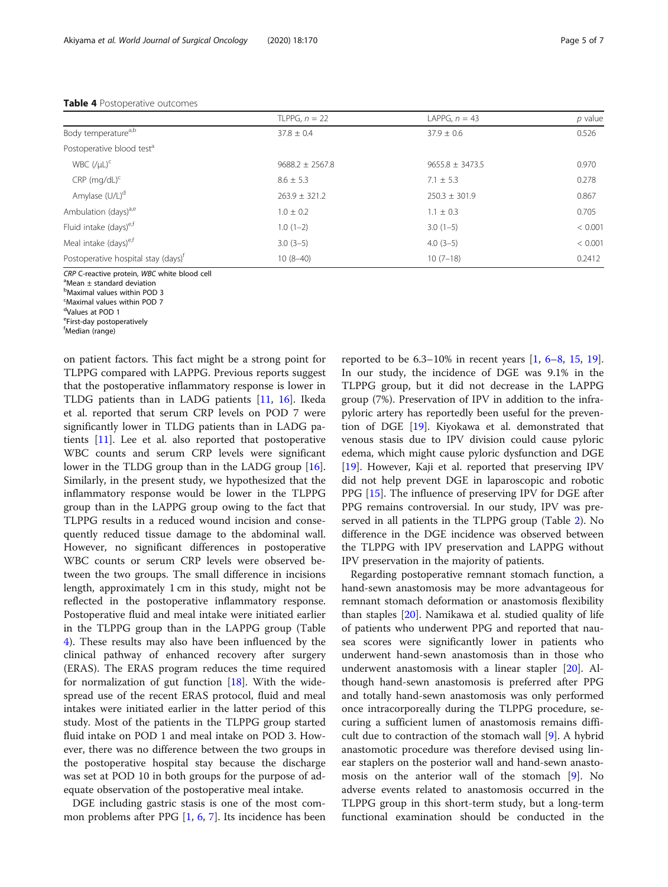#### <span id="page-4-0"></span>Table 4 Postoperative outcomes

|                                                 | TLPPG, $n = 22$     | LAPPG. $n = 43$     | $p$ value |
|-------------------------------------------------|---------------------|---------------------|-----------|
| Body temperature <sup>a,b</sup>                 | $37.8 \pm 0.4$      | $37.9 \pm 0.6$      | 0.526     |
| Postoperative blood test <sup>a</sup>           |                     |                     |           |
| WBC $($ / $\mu$ L $)$ <sup>c</sup>              | $9688.2 \pm 2567.8$ | $9655.8 \pm 3473.5$ | 0.970     |
| $CRP$ (mg/dL) <sup>c</sup>                      | $8.6 \pm 5.3$       | $7.1 \pm 5.3$       | 0.278     |
| Amylase (U/L) <sup>d</sup>                      | $263.9 \pm 321.2$   | $250.3 \pm 301.9$   | 0.867     |
| Ambulation (days) <sup>a,e</sup>                | $1.0 \pm 0.2$       | $1.1 \pm 0.3$       | 0.705     |
| Fluid intake (days) <sup>e,f</sup>              | $1.0(1-2)$          | $3.0(1-5)$          | < 0.001   |
| Meal intake (days) <sup>e,f</sup>               | $3.0(3-5)$          | $4.0(3-5)$          | < 0.001   |
| Postoperative hospital stay (days) <sup>†</sup> | $10(8-40)$          | $10(7-18)$          | 0.2412    |

CRP C-reactive protein, WBC white blood cell

<sup>a</sup>Mean ± standard deviation

b Maximal values within POD 3

<sup>c</sup>Maximal values within POD 7

<sup>d</sup>Values at POD 1

<sup>e</sup>First-day postoperatively

f Median (range)

on patient factors. This fact might be a strong point for TLPPG compared with LAPPG. Previous reports suggest that the postoperative inflammatory response is lower in TLDG patients than in LADG patients [[11,](#page-5-0) [16](#page-5-0)]. Ikeda et al. reported that serum CRP levels on POD 7 were significantly lower in TLDG patients than in LADG patients [\[11](#page-5-0)]. Lee et al. also reported that postoperative WBC counts and serum CRP levels were significant lower in the TLDG group than in the LADG group [\[16](#page-5-0)]. Similarly, in the present study, we hypothesized that the inflammatory response would be lower in the TLPPG group than in the LAPPG group owing to the fact that TLPPG results in a reduced wound incision and consequently reduced tissue damage to the abdominal wall. However, no significant differences in postoperative WBC counts or serum CRP levels were observed between the two groups. The small difference in incisions length, approximately 1 cm in this study, might not be reflected in the postoperative inflammatory response. Postoperative fluid and meal intake were initiated earlier in the TLPPG group than in the LAPPG group (Table 4). These results may also have been influenced by the clinical pathway of enhanced recovery after surgery (ERAS). The ERAS program reduces the time required for normalization of gut function  $[18]$  $[18]$ . With the widespread use of the recent ERAS protocol, fluid and meal intakes were initiated earlier in the latter period of this study. Most of the patients in the TLPPG group started fluid intake on POD 1 and meal intake on POD 3. However, there was no difference between the two groups in the postoperative hospital stay because the discharge was set at POD 10 in both groups for the purpose of adequate observation of the postoperative meal intake.

DGE including gastric stasis is one of the most common problems after PPG [[1,](#page-5-0) [6,](#page-5-0) [7](#page-5-0)]. Its incidence has been

reported to be  $6.3-10\%$  $6.3-10\%$  in recent years  $[1, 6-8, 15, 19]$  $[1, 6-8, 15, 19]$  $[1, 6-8, 15, 19]$  $[1, 6-8, 15, 19]$  $[1, 6-8, 15, 19]$  $[1, 6-8, 15, 19]$  $[1, 6-8, 15, 19]$  $[1, 6-8, 15, 19]$ . In our study, the incidence of DGE was 9.1% in the TLPPG group, but it did not decrease in the LAPPG group (7%). Preservation of IPV in addition to the infrapyloric artery has reportedly been useful for the prevention of DGE [\[19](#page-6-0)]. Kiyokawa et al. demonstrated that venous stasis due to IPV division could cause pyloric edema, which might cause pyloric dysfunction and DGE [[19\]](#page-6-0). However, Kaji et al. reported that preserving IPV did not help prevent DGE in laparoscopic and robotic PPG [\[15](#page-5-0)]. The influence of preserving IPV for DGE after PPG remains controversial. In our study, IPV was preserved in all patients in the TLPPG group (Table [2](#page-3-0)). No difference in the DGE incidence was observed between the TLPPG with IPV preservation and LAPPG without IPV preservation in the majority of patients.

Regarding postoperative remnant stomach function, a hand-sewn anastomosis may be more advantageous for remnant stomach deformation or anastomosis flexibility than staples [[20\]](#page-6-0). Namikawa et al. studied quality of life of patients who underwent PPG and reported that nausea scores were significantly lower in patients who underwent hand-sewn anastomosis than in those who underwent anastomosis with a linear stapler [\[20\]](#page-6-0). Although hand-sewn anastomosis is preferred after PPG and totally hand-sewn anastomosis was only performed once intracorporeally during the TLPPG procedure, securing a sufficient lumen of anastomosis remains difficult due to contraction of the stomach wall [\[9\]](#page-5-0). A hybrid anastomotic procedure was therefore devised using linear staplers on the posterior wall and hand-sewn anastomosis on the anterior wall of the stomach [\[9](#page-5-0)]. No adverse events related to anastomosis occurred in the TLPPG group in this short-term study, but a long-term functional examination should be conducted in the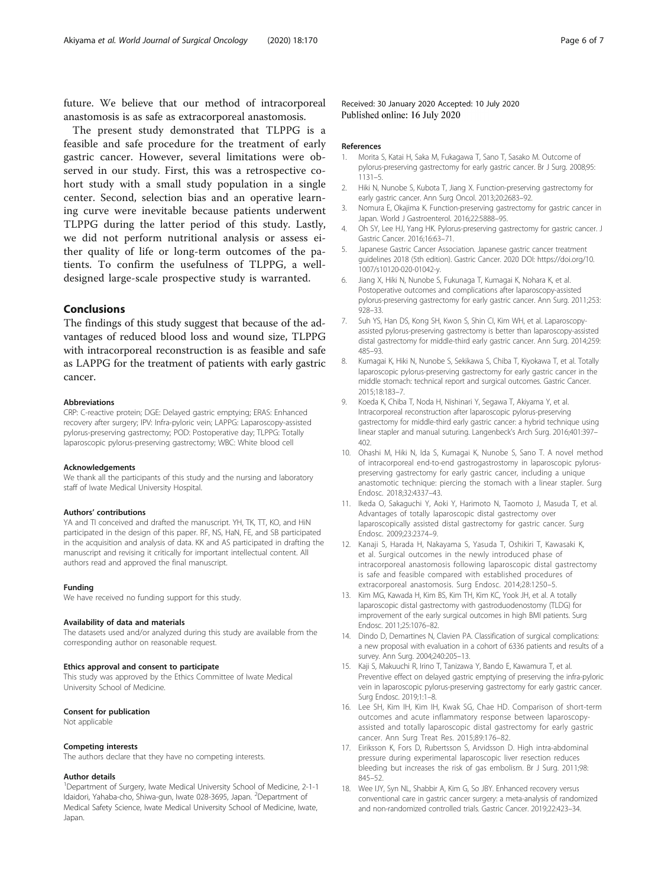<span id="page-5-0"></span>future. We believe that our method of intracorporeal anastomosis is as safe as extracorporeal anastomosis.

The present study demonstrated that TLPPG is a feasible and safe procedure for the treatment of early gastric cancer. However, several limitations were observed in our study. First, this was a retrospective cohort study with a small study population in a single center. Second, selection bias and an operative learning curve were inevitable because patients underwent TLPPG during the latter period of this study. Lastly, we did not perform nutritional analysis or assess either quality of life or long-term outcomes of the patients. To confirm the usefulness of TLPPG, a welldesigned large-scale prospective study is warranted.

#### Conclusions

The findings of this study suggest that because of the advantages of reduced blood loss and wound size, TLPPG with intracorporeal reconstruction is as feasible and safe as LAPPG for the treatment of patients with early gastric cancer.

#### Abbreviations

CRP: C-reactive protein; DGE: Delayed gastric emptying; ERAS: Enhanced recovery after surgery; IPV: Infra-pyloric vein; LAPPG: Laparoscopy-assisted pylorus-preserving gastrectomy; POD: Postoperative day; TLPPG: Totally laparoscopic pylorus-preserving gastrectomy; WBC: White blood cell

#### Acknowledgements

We thank all the participants of this study and the nursing and laboratory staff of Iwate Medical University Hospital.

#### Authors' contributions

YA and TI conceived and drafted the manuscript. YH, TK, TT, KO, and HiN participated in the design of this paper. RF, NS, HaN, FE, and SB participated in the acquisition and analysis of data. KK and AS participated in drafting the manuscript and revising it critically for important intellectual content. All authors read and approved the final manuscript.

#### Funding

We have received no funding support for this study.

#### Availability of data and materials

The datasets used and/or analyzed during this study are available from the corresponding author on reasonable request.

#### Ethics approval and consent to participate

This study was approved by the Ethics Committee of Iwate Medical University School of Medicine.

#### Consent for publication

Not applicable

#### Competing interests

The authors declare that they have no competing interests.

#### Author details

<sup>1</sup>Department of Surgery, Iwate Medical University School of Medicine, 2-1-1 Idaidori, Yahaba-cho, Shiwa-gun, Iwate 028-3695, Japan. <sup>2</sup>Department of Medical Safety Science, Iwate Medical University School of Medicine, Iwate, Japan.

Received: 30 January 2020 Accepted: 10 July 2020 Published online: 16 July 2020

#### References

- 1. Morita S, Katai H, Saka M, Fukagawa T, Sano T, Sasako M. Outcome of pylorus-preserving gastrectomy for early gastric cancer. Br J Surg. 2008;95: 1131–5.
- 2. Hiki N, Nunobe S, Kubota T, Jiang X. Function-preserving gastrectomy for early gastric cancer. Ann Surg Oncol. 2013;20:2683–92.
- 3. Nomura E, Okajima K. Function-preserving gastrectomy for gastric cancer in Japan. World J Gastroenterol. 2016;22:5888–95.
- 4. Oh SY, Lee HJ, Yang HK. Pylorus-preserving gastrectomy for gastric cancer. J Gastric Cancer. 2016;16:63–71.
- 5. Japanese Gastric Cancer Association. Japanese gastric cancer treatment guidelines 2018 (5th edition). Gastric Cancer. 2020 DOI: https://doi.org/10. 1007/s10120-020-01042-y.
- 6. Jiang X, Hiki N, Nunobe S, Fukunaga T, Kumagai K, Nohara K, et al. Postoperative outcomes and complications after laparoscopy-assisted pylorus-preserving gastrectomy for early gastric cancer. Ann Surg. 2011;253: 928–33.
- 7. Suh YS, Han DS, Kong SH, Kwon S, Shin CI, Kim WH, et al. Laparoscopyassisted pylorus-preserving gastrectomy is better than laparoscopy-assisted distal gastrectomy for middle-third early gastric cancer. Ann Surg. 2014;259: 485–93.
- 8. Kumagai K, Hiki N, Nunobe S, Sekikawa S, Chiba T, Kiyokawa T, et al. Totally laparoscopic pylorus-preserving gastrectomy for early gastric cancer in the middle stomach: technical report and surgical outcomes. Gastric Cancer. 2015;18:183–7.
- 9. Koeda K, Chiba T, Noda H, Nishinari Y, Segawa T, Akiyama Y, et al. Intracorporeal reconstruction after laparoscopic pylorus-preserving gastrectomy for middle-third early gastric cancer: a hybrid technique using linear stapler and manual suturing. Langenbeck's Arch Surg. 2016;401:397– 402.
- 10. Ohashi M, Hiki N, Ida S, Kumagai K, Nunobe S, Sano T. A novel method of intracorporeal end-to-end gastrogastrostomy in laparoscopic pyloruspreserving gastrectomy for early gastric cancer, including a unique anastomotic technique: piercing the stomach with a linear stapler. Surg Endosc. 2018;32:4337–43.
- 11. Ikeda O, Sakaguchi Y, Aoki Y, Harimoto N, Taomoto J, Masuda T, et al. Advantages of totally laparoscopic distal gastrectomy over laparoscopically assisted distal gastrectomy for gastric cancer. Surg Endosc. 2009;23:2374–9.
- 12. Kanaji S, Harada H, Nakayama S, Yasuda T, Oshikiri T, Kawasaki K, et al. Surgical outcomes in the newly introduced phase of intracorporeal anastomosis following laparoscopic distal gastrectomy is safe and feasible compared with established procedures of extracorporeal anastomosis. Surg Endosc. 2014;28:1250–5.
- 13. Kim MG, Kawada H, Kim BS, Kim TH, Kim KC, Yook JH, et al. A totally laparoscopic distal gastrectomy with gastroduodenostomy (TLDG) for improvement of the early surgical outcomes in high BMI patients. Surg Endosc. 2011;25:1076–82.
- 14. Dindo D, Demartines N, Clavien PA. Classification of surgical complications: a new proposal with evaluation in a cohort of 6336 patients and results of a survey. Ann Surg. 2004;240:205–13.
- 15. Kaji S, Makuuchi R, Irino T, Tanizawa Y, Bando E, Kawamura T, et al. Preventive effect on delayed gastric emptying of preserving the infra-pyloric vein in laparoscopic pylorus-preserving gastrectomy for early gastric cancer. Surg Endosc. 2019;1:1–8.
- 16. Lee SH, Kim IH, Kim IH, Kwak SG, Chae HD. Comparison of short-term outcomes and acute inflammatory response between laparoscopyassisted and totally laparoscopic distal gastrectomy for early gastric cancer. Ann Surg Treat Res. 2015;89:176–82.
- 17. Eiriksson K, Fors D, Rubertsson S, Arvidsson D. High intra-abdominal pressure during experimental laparoscopic liver resection reduces bleeding but increases the risk of gas embolism. Br J Surg. 2011;98: 845–52.
- 18. Wee IJY, Syn NL, Shabbir A, Kim G, So JBY. Enhanced recovery versus conventional care in gastric cancer surgery: a meta-analysis of randomized and non-randomized controlled trials. Gastric Cancer. 2019;22:423–34.